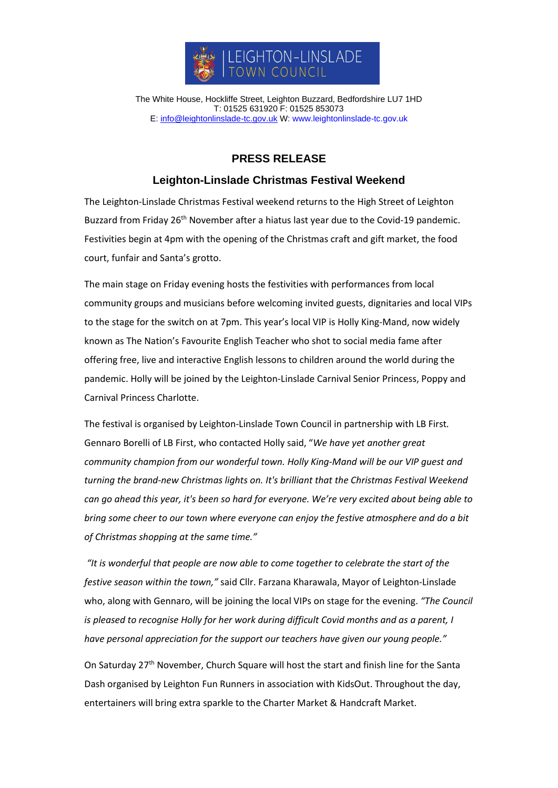

The White House, Hockliffe Street, Leighton Buzzard, Bedfordshire LU7 1HD T: 01525 631920 F: 01525 853073 E: [info@leightonlinslade-tc.gov.uk](mailto:bookings@leightonlinslade-tc.gov.uk) W: [www.leightonlinslade-tc.gov.uk](http://www.leightonlinslade-tc.gov.uk/)

## **PRESS RELEASE**

## **Leighton-Linslade Christmas Festival Weekend**

The Leighton-Linslade Christmas Festival weekend returns to the High Street of Leighton Buzzard from Friday 26<sup>th</sup> November after a hiatus last year due to the Covid-19 pandemic. Festivities begin at 4pm with the opening of the Christmas craft and gift market, the food court, funfair and Santa's grotto.

The main stage on Friday evening hosts the festivities with performances from local community groups and musicians before welcoming invited guests, dignitaries and local VIPs to the stage for the switch on at 7pm. This year's local VIP is Holly King-Mand, now widely known as The Nation's Favourite English Teacher who shot to social media fame after offering free, live and interactive English lessons to children around the world during the pandemic. Holly will be joined by the Leighton-Linslade Carnival Senior Princess, Poppy and Carnival Princess Charlotte.

The festival is organised by Leighton-Linslade Town Council in partnership with LB First*.* Gennaro Borelli of LB First, who contacted Holly said, "*We have yet another great community champion from our wonderful town. Holly King-Mand will be our VIP guest and turning the brand-new Christmas lights on. It's brilliant that the Christmas Festival Weekend can go ahead this year, it's been so hard for everyone. We're very excited about being able to bring some cheer to our town where everyone can enjoy the festive atmosphere and do a bit of Christmas shopping at the same time."*

*"It is wonderful that people are now able to come together to celebrate the start of the festive season within the town,"* said Cllr. Farzana Kharawala, Mayor of Leighton-Linslade who, along with Gennaro, will be joining the local VIPs on stage for the evening. *"The Council is pleased to recognise Holly for her work during difficult Covid months and as a parent, I have personal appreciation for the support our teachers have given our young people."*

On Saturday 27<sup>th</sup> November, Church Square will host the start and finish line for the Santa Dash organised by Leighton Fun Runners in association with KidsOut. Throughout the day, entertainers will bring extra sparkle to the Charter Market & Handcraft Market.